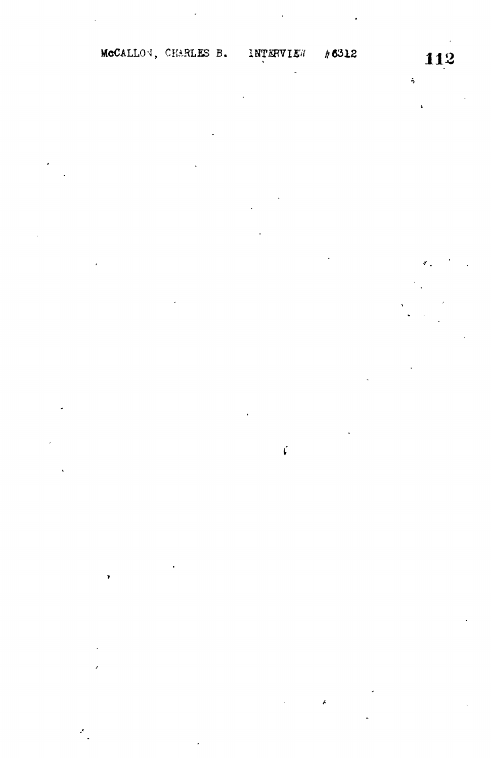$\mathbf{r}$ 

 $\boldsymbol{\epsilon}$ 

 $\mathcal{C}_{\mathcal{C}}$ 

z

 $\frac{1}{2}$ 

 $\ddot{\phantom{0}}$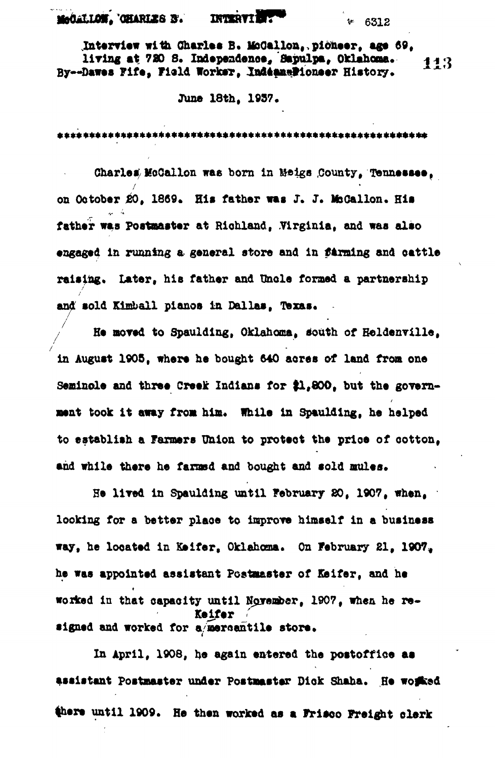**860ALION, CHARLES B. INTERVIERT \***  $*$  6312

**Interriew with Charles B. MoOallon,, pioneer, age 69,** living at 720 S. Independence, Sapulpa, Oklahoma. 113 **By—Dawes Fife, Field WorksT, Indtaantioneer History.**

## **18th, 1997.**

Charles McCallon was born in Meigs County, Tennessee, **on Ootober £0, 1869. His father was J. J. IfoOallon. Hit** father was Postmaster at Richland, Wirginia, and was also engaged in running a general store and in farming and cattle raising. Later, his father and Unole formed a partnership and sold Kimball pianos in Dallas, Texas.

**i He sored to Spauldlng, Oklahoma, south of Beldenrille, in August 1605, where he bought 640 acres of land from one Seninole and three Creek Indians for £1,800, but the govern**ment took it away from him. While in Spaulding, he helped **to establish a Farmers Union to protect the price of cotton,** and while there he farmsd and bought and sold mules.

**He llred in Spaulding until February SO, 1907, when, looking for a better place to inprove himself in a business way, he located in Keifer, Oklahoma. On February 21, 1907, he was appointed assistant Postmaster of Keifer, and he » worked In that capacity until Nojreafcar, 1907, when he re-Keifer** signed and worked for a/mercantile store.

**In April, 1908, he again entered the postofflce as assistant postmaster under Postmaster Dlok Shaha. He there until 1909. He then worked as a Frisco Freight clerk**